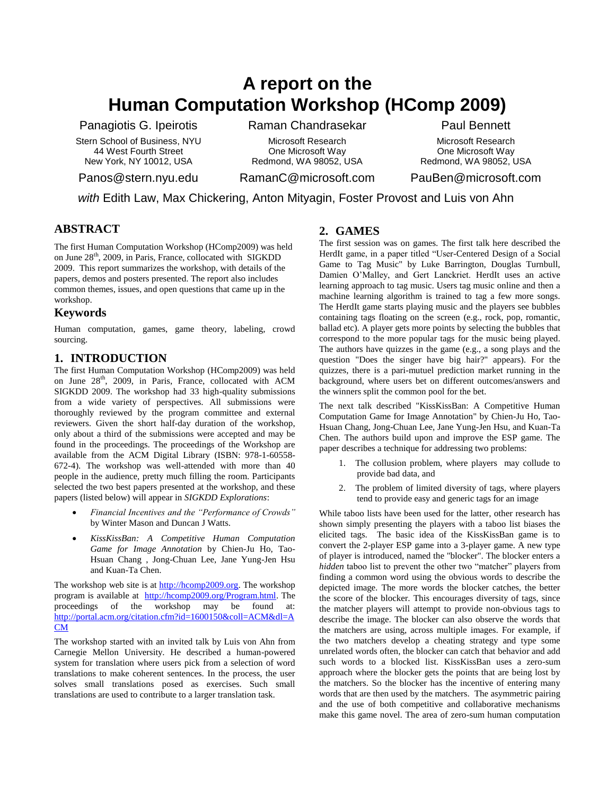# **A report on the Human Computation Workshop (HComp 2009)**

Panagiotis G. Ipeirotis

Stern School of Business, NYU 44 West Fourth Street New York, NY 10012, USA

Panos@stern.nyu.edu

Raman Chandrasekar

Microsoft Research One Microsoft Way Redmond, WA 98052, USA Paul Bennett

Microsoft Research One Microsoft Way Redmond, WA 98052, USA

RamanC@microsoft.com

## PauBen@microsoft.com

*with* Edith Law, Max Chickering, Anton Mityagin, Foster Provost and Luis von Ahn

## **ABSTRACT**

The first Human Computation Workshop (HComp2009) was held on June 28<sup>th</sup>, 2009, in Paris, France, collocated with SIGKDD 2009. This report summarizes the workshop, with details of the papers, demos and posters presented. The report also includes common themes, issues, and open questions that came up in the workshop.

### **Keywords**

Human computation, games, game theory, labeling, crowd sourcing.

## **1. INTRODUCTION**

The first Human Computation Workshop (HComp2009) was held on June 28<sup>th</sup>, 2009, in Paris, France, collocated with ACM SIGKDD 2009. The workshop had 33 high-quality submissions from a wide variety of perspectives. All submissions were thoroughly reviewed by the program committee and external reviewers. Given the short half-day duration of the workshop, only about a third of the submissions were accepted and may be found in the proceedings. The proceedings of the Workshop are available from the ACM Digital Library (ISBN: 978-1-60558- 672-4). The workshop was well-attended with more than 40 people in the audience, pretty much filling the room. Participants selected the two best papers presented at the workshop, and these papers (listed below) will appear in *SIGKDD Explorations*:

- *Financial Incentives and the "Performance of Crowds"* by Winter Mason and Duncan J Watts.
- *KissKissBan: A Competitive Human Computation Game for Image Annotation* by Chien-Ju Ho, Tao-Hsuan Chang , Jong-Chuan Lee, Jane Yung-Jen Hsu and Kuan-Ta Chen.

The workshop web site is a[t http://hcomp2009.org.](http://hcomp2009.org/) The workshop program is available at [http://hcomp2009.org/Program.html.](http://hcomp2009.org/Program.html) The proceedings of the workshop may be found at: [http://portal.acm.org/citation.cfm?id=1600150&coll=ACM&dl=A](http://portal.acm.org/citation.cfm?id=1600150&coll=ACM&dl=ACM) [CM](http://portal.acm.org/citation.cfm?id=1600150&coll=ACM&dl=ACM)

The workshop started with an invited talk by Luis von Ahn from Carnegie Mellon University. He described a human-powered system for translation where users pick from a selection of word translations to make coherent sentences. In the process, the user solves small translations posed as exercises. Such small translations are used to contribute to a larger translation task.

## **2. GAMES**

The first session was on games. The first talk here described the HerdIt game, in a paper titled "User-Centered Design of a Social Game to Tag Music" by Luke Barrington, Douglas Turnbull, Damien O"Malley, and Gert Lanckriet. HerdIt uses an active learning approach to tag music. Users tag music online and then a machine learning algorithm is trained to tag a few more songs. The HerdIt game starts playing music and the players see bubbles containing tags floating on the screen (e.g., rock, pop, romantic, ballad etc). A player gets more points by selecting the bubbles that correspond to the more popular tags for the music being played. The authors have quizzes in the game (e.g., a song plays and the question "Does the singer have big hair?" appears). For the quizzes, there is a pari-mutuel prediction market running in the background, where users bet on different outcomes/answers and the winners split the common pool for the bet.

The next talk described "KissKissBan: A Competitive Human Computation Game for Image Annotation" by Chien-Ju Ho, Tao-Hsuan Chang, Jong-Chuan Lee, Jane Yung-Jen Hsu, and Kuan-Ta Chen. The authors build upon and improve the ESP game. The paper describes a technique for addressing two problems:

- 1. The collusion problem, where players may collude to provide bad data, and
- 2. The problem of limited diversity of tags, where players tend to provide easy and generic tags for an image

While taboo lists have been used for the latter, other research has shown simply presenting the players with a taboo list biases the elicited tags. The basic idea of the KissKissBan game is to convert the 2-player ESP game into a 3-player game. A new type of player is introduced, named the "blocker". The blocker enters a *hidden* taboo list to prevent the other two "matcher" players from finding a common word using the obvious words to describe the depicted image. The more words the blocker catches, the better the score of the blocker. This encourages diversity of tags, since the matcher players will attempt to provide non-obvious tags to describe the image. The blocker can also observe the words that the matchers are using, across multiple images. For example, if the two matchers develop a cheating strategy and type some unrelated words often, the blocker can catch that behavior and add such words to a blocked list. KissKissBan uses a zero-sum approach where the blocker gets the points that are being lost by the matchers. So the blocker has the incentive of entering many words that are then used by the matchers. The asymmetric pairing and the use of both competitive and collaborative mechanisms make this game novel. The area of zero-sum human computation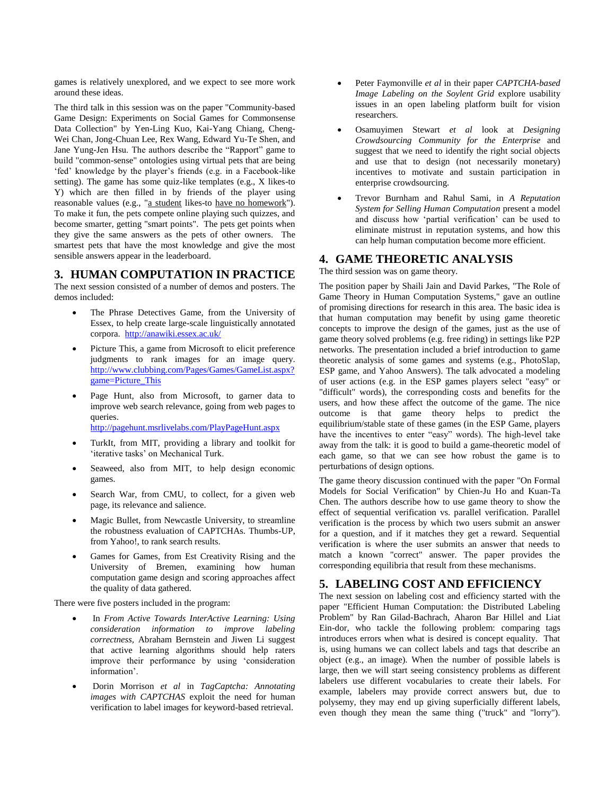games is relatively unexplored, and we expect to see more work around these ideas.

The third talk in this session was on the paper "Community-based Game Design: Experiments on Social Games for Commonsense Data Collection" by Yen-Ling Kuo, Kai-Yang Chiang, Cheng-Wei Chan, Jong-Chuan Lee, Rex Wang, Edward Yu-Te Shen, and Jane Yung-Jen Hsu. The authors describe the "Rapport" game to build "common-sense" ontologies using virtual pets that are being 'fed' knowledge by the player's friends (e.g. in a Facebook-like setting). The game has some quiz-like templates (e.g., X likes-to Y) which are then filled in by friends of the player using reasonable values (e.g., "a student likes-to have no homework"). To make it fun, the pets compete online playing such quizzes, and become smarter, getting "smart points". The pets get points when they give the same answers as the pets of other owners. The smartest pets that have the most knowledge and give the most sensible answers appear in the leaderboard.

#### **3. HUMAN COMPUTATION IN PRACTICE**

The next session consisted of a number of demos and posters. The demos included:

- The Phrase Detectives Game, from the University of Essex, to help create large-scale linguistically annotated corpora.<http://anawiki.essex.ac.uk/>
- Picture This, a game from Microsoft to elicit preference judgments to rank images for an image query. [http://www.clubbing.com/Pages/Games/GameList.aspx?](http://www.clubbing.com/Pages/Games/GameList.aspx?game=Picture_This) [game=Picture\\_This](http://www.clubbing.com/Pages/Games/GameList.aspx?game=Picture_This)
- Page Hunt, also from Microsoft, to garner data to improve web search relevance, going from web pages to queries.

<http://pagehunt.msrlivelabs.com/PlayPageHunt.aspx>

- TurkIt, from MIT, providing a library and toolkit for 'iterative tasks' on Mechanical Turk.
- Seaweed, also from MIT, to help design economic games.
- Search War, from CMU, to collect, for a given web page, its relevance and salience.
- Magic Bullet, from Newcastle University, to streamline the robustness evaluation of CAPTCHAs. Thumbs-UP, from Yahoo!, to rank search results.
- Games for Games, from Est Creativity Rising and the University of Bremen, examining how human computation game design and scoring approaches affect the quality of data gathered.

There were five posters included in the program:

- In *From Active Towards InterActive Learning: Using consideration information to improve labeling correctness,* Abraham Bernstein and Jiwen Li suggest that active learning algorithms should help raters improve their performance by using "consideration information".
- Dorin Morrison *et al* in *TagCaptcha: Annotating images with CAPTCHAS* exploit the need for human verification to label images for keyword-based retrieval.
- Peter Faymonville *et al* in their paper *CAPTCHA-based Image Labeling on the Soylent Grid* explore usability issues in an open labeling platform built for vision researchers.
- Osamuyimen Stewart *et al* look at *Designing Crowdsourcing Community for the Enterprise* and suggest that we need to identify the right social objects and use that to design (not necessarily monetary) incentives to motivate and sustain participation in enterprise crowdsourcing.
- Trevor Burnham and Rahul Sami, in *A Reputation System for Selling Human Computation* present a model and discuss how "partial verification" can be used to eliminate mistrust in reputation systems, and how this can help human computation become more efficient.

## **4. GAME THEORETIC ANALYSIS**

The third session was on game theory.

The position paper by Shaili Jain and David Parkes, "The Role of Game Theory in Human Computation Systems," gave an outline of promising directions for research in this area. The basic idea is that human computation may benefit by using game theoretic concepts to improve the design of the games, just as the use of game theory solved problems (e.g. free riding) in settings like P2P networks. The presentation included a brief introduction to game theoretic analysis of some games and systems (e.g., PhotoSlap, ESP game, and Yahoo Answers). The talk advocated a modeling of user actions (e.g. in the ESP games players select "easy" or "difficult" words), the corresponding costs and benefits for the users, and how these affect the outcome of the game. The nice outcome is that game theory helps to predict the equilibrium/stable state of these games (in the ESP Game, players have the incentives to enter "easy" words). The high-level take away from the talk: it is good to build a game-theoretic model of each game, so that we can see how robust the game is to perturbations of design options.

The game theory discussion continued with the paper "On Formal Models for Social Verification" by Chien-Ju Ho and Kuan-Ta Chen. The authors describe how to use game theory to show the effect of sequential verification vs. parallel verification. Parallel verification is the process by which two users submit an answer for a question, and if it matches they get a reward. Sequential verification is where the user submits an answer that needs to match a known "correct" answer. The paper provides the corresponding equilibria that result from these mechanisms.

#### **5. LABELING COST AND EFFICIENCY**

The next session on labeling cost and efficiency started with the paper "Efficient Human Computation: the Distributed Labeling Problem" by Ran Gilad-Bachrach, Aharon Bar Hillel and Liat Ein-dor, who tackle the following problem: comparing tags introduces errors when what is desired is concept equality. That is, using humans we can collect labels and tags that describe an object (e.g., an image). When the number of possible labels is large, then we will start seeing consistency problems as different labelers use different vocabularies to create their labels. For example, labelers may provide correct answers but, due to polysemy, they may end up giving superficially different labels, even though they mean the same thing ("truck" and "lorry").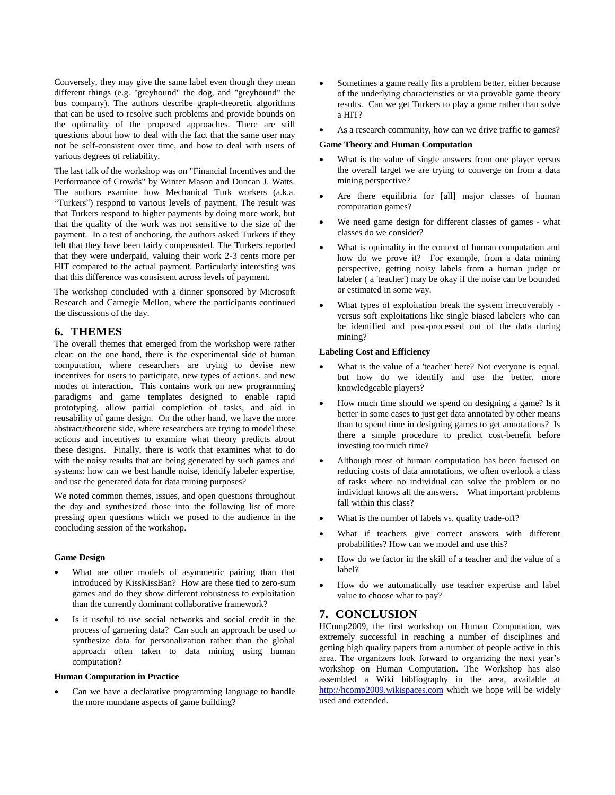Conversely, they may give the same label even though they mean different things (e.g. "greyhound" the dog, and "greyhound" the bus company). The authors describe graph-theoretic algorithms that can be used to resolve such problems and provide bounds on the optimality of the proposed approaches. There are still questions about how to deal with the fact that the same user may not be self-consistent over time, and how to deal with users of various degrees of reliability.

The last talk of the workshop was on "Financial Incentives and the Performance of Crowds" by Winter Mason and Duncan J. Watts. The authors examine how Mechanical Turk workers (a.k.a. "Turkers") respond to various levels of payment. The result was that Turkers respond to higher payments by doing more work, but that the quality of the work was not sensitive to the size of the payment. In a test of anchoring, the authors asked Turkers if they felt that they have been fairly compensated. The Turkers reported that they were underpaid, valuing their work 2-3 cents more per HIT compared to the actual payment. Particularly interesting was that this difference was consistent across levels of payment.

The workshop concluded with a dinner sponsored by Microsoft Research and Carnegie Mellon, where the participants continued the discussions of the day.

## **6. THEMES**

The overall themes that emerged from the workshop were rather clear: on the one hand, there is the experimental side of human computation, where researchers are trying to devise new incentives for users to participate, new types of actions, and new modes of interaction. This contains work on new programming paradigms and game templates designed to enable rapid prototyping, allow partial completion of tasks, and aid in reusability of game design. On the other hand, we have the more abstract/theoretic side, where researchers are trying to model these actions and incentives to examine what theory predicts about these designs. Finally, there is work that examines what to do with the noisy results that are being generated by such games and systems: how can we best handle noise, identify labeler expertise, and use the generated data for data mining purposes?

We noted common themes, issues, and open questions throughout the day and synthesized those into the following list of more pressing open questions which we posed to the audience in the concluding session of the workshop.

#### **Game Design**

- What are other models of asymmetric pairing than that introduced by KissKissBan? How are these tied to zero-sum games and do they show different robustness to exploitation than the currently dominant collaborative framework?
- Is it useful to use social networks and social credit in the process of garnering data? Can such an approach be used to synthesize data for personalization rather than the global approach often taken to data mining using human computation?

#### **Human Computation in Practice**

 Can we have a declarative programming language to handle the more mundane aspects of game building?

- Sometimes a game really fits a problem better, either because of the underlying characteristics or via provable game theory results. Can we get Turkers to play a game rather than solve a HIT?
- As a research community, how can we drive traffic to games?

#### **Game Theory and Human Computation**

- What is the value of single answers from one player versus the overall target we are trying to converge on from a data mining perspective?
- Are there equilibria for [all] major classes of human computation games?
- We need game design for different classes of games what classes do we consider?
- What is optimality in the context of human computation and how do we prove it? For example, from a data mining perspective, getting noisy labels from a human judge or labeler ( a 'teacher') may be okay if the noise can be bounded or estimated in some way.
- What types of exploitation break the system irrecoverably versus soft exploitations like single biased labelers who can be identified and post-processed out of the data during mining?

#### **Labeling Cost and Efficiency**

- What is the value of a 'teacher' here? Not everyone is equal, but how do we identify and use the better, more knowledgeable players?
- How much time should we spend on designing a game? Is it better in some cases to just get data annotated by other means than to spend time in designing games to get annotations? Is there a simple procedure to predict cost-benefit before investing too much time?
- Although most of human computation has been focused on reducing costs of data annotations, we often overlook a class of tasks where no individual can solve the problem or no individual knows all the answers. What important problems fall within this class?
- What is the number of labels vs. quality trade-off?
- What if teachers give correct answers with different probabilities? How can we model and use this?
- How do we factor in the skill of a teacher and the value of a label?
- How do we automatically use teacher expertise and label value to choose what to pay?

#### **7. CONCLUSION**

HComp2009, the first workshop on Human Computation, was extremely successful in reaching a number of disciplines and getting high quality papers from a number of people active in this area. The organizers look forward to organizing the next year"s workshop on Human Computation. The Workshop has also assembled a Wiki bibliography in the area, available at [http://hcomp2009.wikispaces.com](http://hcomp2009.wikispaces.com/) which we hope will be widely used and extended.